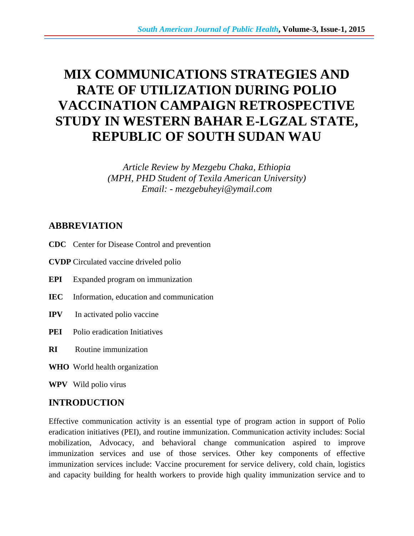# **MIX COMMUNICATIONS STRATEGIES AND RATE OF UTILIZATION DURING POLIO VACCINATION CAMPAIGN RETROSPECTIVE STUDY IN WESTERN BAHAR E-LGZAL STATE, REPUBLIC OF SOUTH SUDAN WAU**

*Article Review by Mezgebu Chaka, Ethiopia (MPH, PHD Student of Texila American University) Email: - mezgebuheyi@ymail.com* 

## **ABBREVIATION**

- **CDC** Center for Disease Control and prevention
- **CVDP** Circulated vaccine driveled polio
- **EPI** Expanded program on immunization
- **IEC** Information, education and communication
- **IPV** In activated polio vaccine
- **PEI** Polio eradication Initiatives
- **RI** Routine immunization
- **WHO** World health organization

**WPV** Wild polio virus

## **INTRODUCTION**

Effective communication activity is an essential type of program action in support of Polio eradication initiatives (PEI), and routine immunization. Communication activity includes: Social mobilization, Advocacy, and behavioral change communication aspired to improve immunization services and use of those services. Other key components of effective immunization services include: Vaccine procurement for service delivery, cold chain, logistics and capacity building for health workers to provide high quality immunization service and to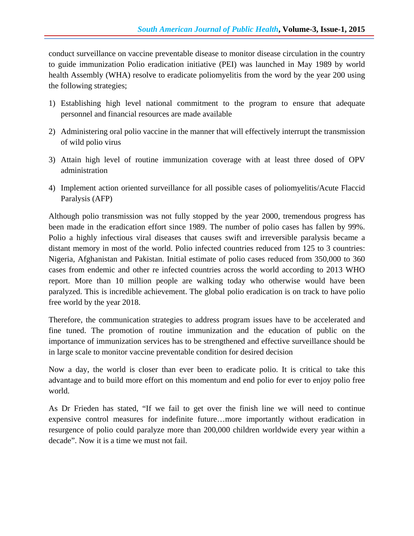conduct surveillance on vaccine preventable disease to monitor disease circulation in the country to guide immunization Polio eradication initiative (PEI) was launched in May 1989 by world health Assembly (WHA) resolve to eradicate poliomyelitis from the word by the year 200 using the following strategies;

- 1) Establishing high level national commitment to the program to ensure that adequate personnel and financial resources are made available
- 2) Administering oral polio vaccine in the manner that will effectively interrupt the transmission of wild polio virus
- 3) Attain high level of routine immunization coverage with at least three dosed of OPV administration
- 4) Implement action oriented surveillance for all possible cases of poliomyelitis/Acute Flaccid Paralysis (AFP)

Although polio transmission was not fully stopped by the year 2000, tremendous progress has been made in the eradication effort since 1989. The number of polio cases has fallen by 99%. Polio a highly infectious viral diseases that causes swift and irreversible paralysis became a distant memory in most of the world. Polio infected countries reduced from 125 to 3 countries: Nigeria, Afghanistan and Pakistan. Initial estimate of polio cases reduced from 350,000 to 360 cases from endemic and other re infected countries across the world according to 2013 WHO report. More than 10 million people are walking today who otherwise would have been paralyzed. This is incredible achievement. The global polio eradication is on track to have polio free world by the year 2018.

Therefore, the communication strategies to address program issues have to be accelerated and fine tuned. The promotion of routine immunization and the education of public on the importance of immunization services has to be strengthened and effective surveillance should be in large scale to monitor vaccine preventable condition for desired decision

Now a day, the world is closer than ever been to eradicate polio. It is critical to take this advantage and to build more effort on this momentum and end polio for ever to enjoy polio free world.

As Dr Frieden has stated, "If we fail to get over the finish line we will need to continue expensive control measures for indefinite future…more importantly without eradication in resurgence of polio could paralyze more than 200,000 children worldwide every year within a decade". Now it is a time we must not fail.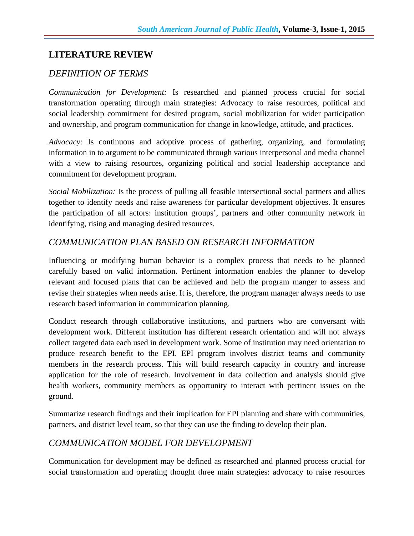## **LITERATURE REVIEW**

## *DEFINITION OF TERMS*

*Communication for Development:* Is researched and planned process crucial for social transformation operating through main strategies: Advocacy to raise resources, political and social leadership commitment for desired program, social mobilization for wider participation and ownership, and program communication for change in knowledge, attitude, and practices.

*Advocacy:* Is continuous and adoptive process of gathering, organizing, and formulating information in to argument to be communicated through various interpersonal and media channel with a view to raising resources, organizing political and social leadership acceptance and commitment for development program.

*Social Mobilization:* Is the process of pulling all feasible intersectional social partners and allies together to identify needs and raise awareness for particular development objectives. It ensures the participation of all actors: institution groups', partners and other community network in identifying, rising and managing desired resources.

#### *COMMUNICATION PLAN BASED ON RESEARCH INFORMATION*

Influencing or modifying human behavior is a complex process that needs to be planned carefully based on valid information. Pertinent information enables the planner to develop relevant and focused plans that can be achieved and help the program manger to assess and revise their strategies when needs arise. It is, therefore, the program manager always needs to use research based information in communication planning.

Conduct research through collaborative institutions, and partners who are conversant with development work. Different institution has different research orientation and will not always collect targeted data each used in development work. Some of institution may need orientation to produce research benefit to the EPI. EPI program involves district teams and community members in the research process. This will build research capacity in country and increase application for the role of research. Involvement in data collection and analysis should give health workers, community members as opportunity to interact with pertinent issues on the ground.

Summarize research findings and their implication for EPI planning and share with communities, partners, and district level team, so that they can use the finding to develop their plan.

#### *COMMUNICATION MODEL FOR DEVELOPMENT*

Communication for development may be defined as researched and planned process crucial for social transformation and operating thought three main strategies: advocacy to raise resources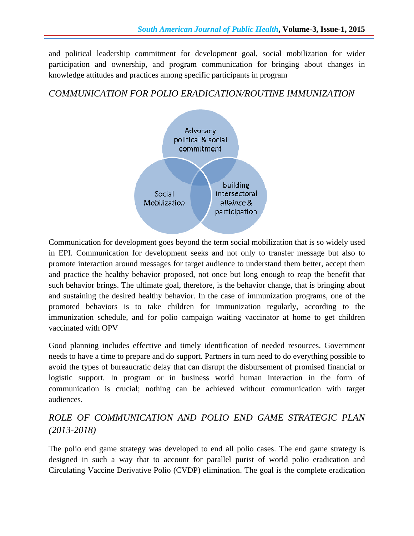and political leadership commitment for development goal, social mobilization for wider participation and ownership, and program communication for bringing about changes in knowledge attitudes and practices among specific participants in program

#### *COMMUNICATION FOR POLIO ERADICATION/ROUTINE IMMUNIZATION*



Communication for development goes beyond the term social mobilization that is so widely used in EPI. Communication for development seeks and not only to transfer message but also to promote interaction around messages for target audience to understand them better, accept them and practice the healthy behavior proposed, not once but long enough to reap the benefit that such behavior brings. The ultimate goal, therefore, is the behavior change, that is bringing about and sustaining the desired healthy behavior. In the case of immunization programs, one of the promoted behaviors is to take children for immunization regularly, according to the immunization schedule, and for polio campaign waiting vaccinator at home to get children vaccinated with OPV

Good planning includes effective and timely identification of needed resources. Government needs to have a time to prepare and do support. Partners in turn need to do everything possible to avoid the types of bureaucratic delay that can disrupt the disbursement of promised financial or logistic support. In program or in business world human interaction in the form of communication is crucial; nothing can be achieved without communication with target audiences.

# *ROLE OF COMMUNICATION AND POLIO END GAME STRATEGIC PLAN (2013-2018)*

The polio end game strategy was developed to end all polio cases. The end game strategy is designed in such a way that to account for parallel purist of world polio eradication and Circulating Vaccine Derivative Polio (CVDP) elimination. The goal is the complete eradication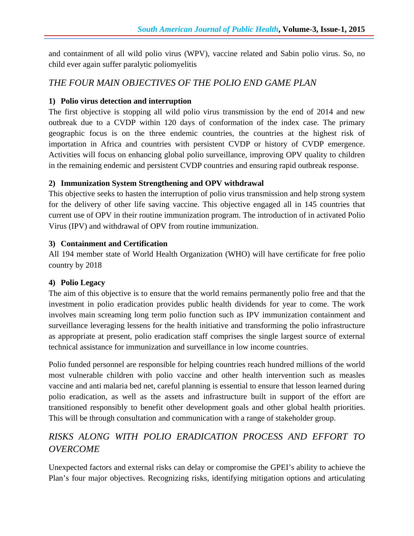and containment of all wild polio virus (WPV), vaccine related and Sabin polio virus. So, no child ever again suffer paralytic poliomyelitis

## *THE FOUR MAIN OBJECTIVES OF THE POLIO END GAME PLAN*

#### **1) Polio virus detection and interruption**

The first objective is stopping all wild polio virus transmission by the end of 2014 and new outbreak due to a CVDP within 120 days of conformation of the index case. The primary geographic focus is on the three endemic countries, the countries at the highest risk of importation in Africa and countries with persistent CVDP or history of CVDP emergence. Activities will focus on enhancing global polio surveillance, improving OPV quality to children in the remaining endemic and persistent CVDP countries and ensuring rapid outbreak response.

#### **2) Immunization System Strengthening and OPV withdrawal**

This objective seeks to hasten the interruption of polio virus transmission and help strong system for the delivery of other life saving vaccine. This objective engaged all in 145 countries that current use of OPV in their routine immunization program. The introduction of in activated Polio Virus (IPV) and withdrawal of OPV from routine immunization.

#### **3) Containment and Certification**

All 194 member state of World Health Organization (WHO) will have certificate for free polio country by 2018

#### **4) Polio Legacy**

The aim of this objective is to ensure that the world remains permanently polio free and that the investment in polio eradication provides public health dividends for year to come. The work involves main screaming long term polio function such as IPV immunization containment and surveillance leveraging lessens for the health initiative and transforming the polio infrastructure as appropriate at present, polio eradication staff comprises the single largest source of external technical assistance for immunization and surveillance in low income countries.

Polio funded personnel are responsible for helping countries reach hundred millions of the world most vulnerable children with polio vaccine and other health intervention such as measles vaccine and anti malaria bed net, careful planning is essential to ensure that lesson learned during polio eradication, as well as the assets and infrastructure built in support of the effort are transitioned responsibly to benefit other development goals and other global health priorities. This will be through consultation and communication with a range of stakeholder group.

# *RISKS ALONG WITH POLIO ERADICATION PROCESS AND EFFORT TO OVERCOME*

Unexpected factors and external risks can delay or compromise the GPEI's ability to achieve the Plan's four major objectives. Recognizing risks, identifying mitigation options and articulating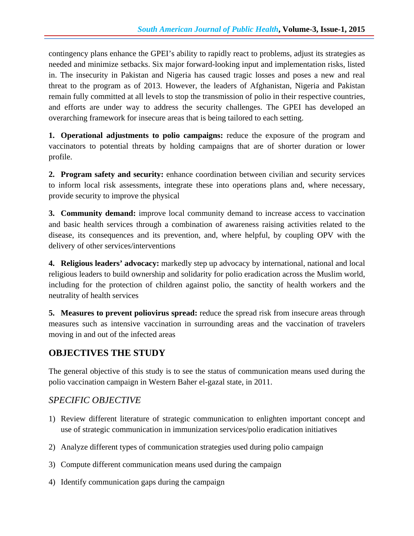contingency plans enhance the GPEI's ability to rapidly react to problems, adjust its strategies as needed and minimize setbacks. Six major forward-looking input and implementation risks, listed in. The insecurity in Pakistan and Nigeria has caused tragic losses and poses a new and real threat to the program as of 2013. However, the leaders of Afghanistan, Nigeria and Pakistan remain fully committed at all levels to stop the transmission of polio in their respective countries, and efforts are under way to address the security challenges. The GPEI has developed an overarching framework for insecure areas that is being tailored to each setting.

**1. Operational adjustments to polio campaigns:** reduce the exposure of the program and vaccinators to potential threats by holding campaigns that are of shorter duration or lower profile.

**2. Program safety and security:** enhance coordination between civilian and security services to inform local risk assessments, integrate these into operations plans and, where necessary, provide security to improve the physical

**3. Community demand:** improve local community demand to increase access to vaccination and basic health services through a combination of awareness raising activities related to the disease, its consequences and its prevention, and, where helpful, by coupling OPV with the delivery of other services/interventions

**4. Religious leaders' advocacy:** markedly step up advocacy by international, national and local religious leaders to build ownership and solidarity for polio eradication across the Muslim world, including for the protection of children against polio, the sanctity of health workers and the neutrality of health services

**5. Measures to prevent poliovirus spread:** reduce the spread risk from insecure areas through measures such as intensive vaccination in surrounding areas and the vaccination of travelers moving in and out of the infected areas

# **OBJECTIVES THE STUDY**

The general objective of this study is to see the status of communication means used during the polio vaccination campaign in Western Baher el-gazal state, in 2011.

## *SPECIFIC OBJECTIVE*

- 1) Review different literature of strategic communication to enlighten important concept and use of strategic communication in immunization services/polio eradication initiatives
- 2) Analyze different types of communication strategies used during polio campaign
- 3) Compute different communication means used during the campaign
- 4) Identify communication gaps during the campaign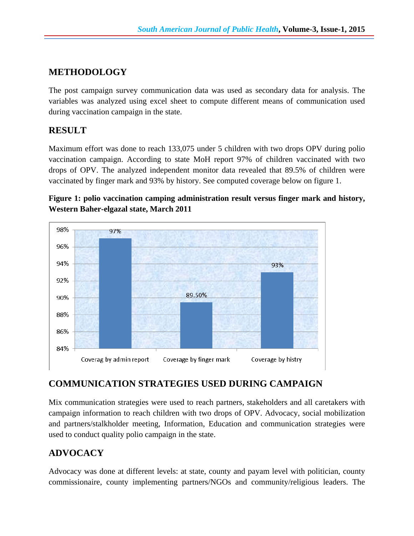# **METHODOLOGY**

The post campaign survey communication data was used as secondary data for analysis. The variables was analyzed using excel sheet to compute different means of communication used during vaccination campaign in the state.

#### **RESULT**

Maximum effort was done to reach 133,075 under 5 children with two drops OPV during polio vaccination campaign. According to state MoH report 97% of children vaccinated with two drops of OPV. The analyzed independent monitor data revealed that 89.5% of children were vaccinated by finger mark and 93% by history. See computed coverage below on figure 1.

**Figure 1: polio vaccination camping administration result versus finger mark and history, Western Baher-elgazal state, March 2011** 



# **COMMUNICATION STRATEGIES USED DURING CAMPAIGN**

Mix communication strategies were used to reach partners, stakeholders and all caretakers with campaign information to reach children with two drops of OPV. Advocacy, social mobilization and partners/stalkholder meeting, Information, Education and communication strategies were used to conduct quality polio campaign in the state.

# **ADVOCACY**

Advocacy was done at different levels: at state, county and payam level with politician, county commissionaire, county implementing partners/NGOs and community/religious leaders. The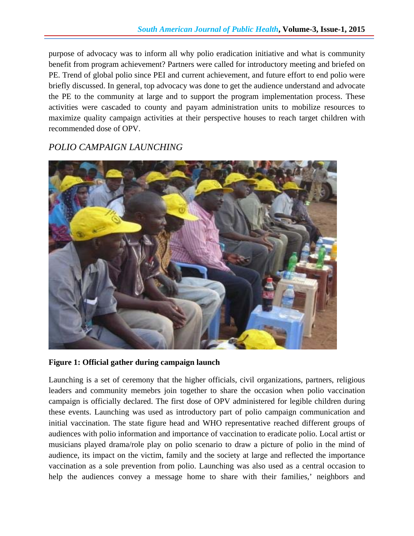purpose of advocacy was to inform all why polio eradication initiative and what is community benefit from program achievement? Partners were called for introductory meeting and briefed on PE. Trend of global polio since PEI and current achievement, and future effort to end polio were briefly discussed. In general, top advocacy was done to get the audience understand and advocate the PE to the community at large and to support the program implementation process. These activities were cascaded to county and payam administration units to mobilize resources to maximize quality campaign activities at their perspective houses to reach target children with recommended dose of OPV.

## *POLIO CAMPAIGN LAUNCHING*



**Figure 1: Official gather during campaign launch** 

Launching is a set of ceremony that the higher officials, civil organizations, partners, religious leaders and community memebrs join together to share the occasion when polio vaccination campaign is officially declared. The first dose of OPV administered for legible children during these events. Launching was used as introductory part of polio campaign communication and initial vaccination. The state figure head and WHO representative reached different groups of audiences with polio information and importance of vaccination to eradicate polio. Local artist or musicians played drama/role play on polio scenario to draw a picture of polio in the mind of audience, its impact on the victim, family and the society at large and reflected the importance vaccination as a sole prevention from polio. Launching was also used as a central occasion to help the audiences convey a message home to share with their families,' neighbors and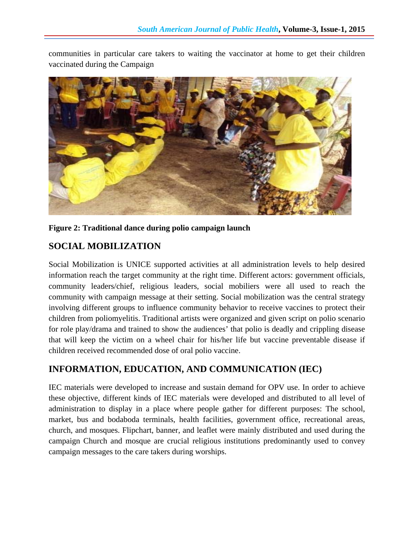communities in particular care takers to waiting the vaccinator at home to get their children vaccinated during the Campaign



**Figure 2: Traditional dance during polio campaign launch**

## **SOCIAL MOBILIZATION**

Social Mobilization is UNICE supported activities at all administration levels to help desired information reach the target community at the right time. Different actors: government officials, community leaders/chief, religious leaders, social mobiliers were all used to reach the community with campaign message at their setting. Social mobilization was the central strategy involving different groups to influence community behavior to receive vaccines to protect their children from poliomyelitis. Traditional artists were organized and given script on polio scenario for role play/drama and trained to show the audiences' that polio is deadly and crippling disease that will keep the victim on a wheel chair for his/her life but vaccine preventable disease if children received recommended dose of oral polio vaccine.

## **INFORMATION, EDUCATION, AND COMMUNICATION (IEC)**

IEC materials were developed to increase and sustain demand for OPV use. In order to achieve these objective, different kinds of IEC materials were developed and distributed to all level of administration to display in a place where people gather for different purposes: The school, market, bus and bodaboda terminals, health facilities, government office, recreational areas, church, and mosques. Flipchart, banner, and leaflet were mainly distributed and used during the campaign Church and mosque are crucial religious institutions predominantly used to convey campaign messages to the care takers during worships.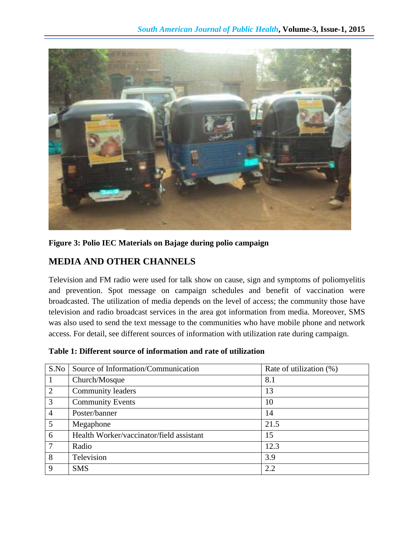

#### **Figure 3: Polio IEC Materials on Bajage during polio campaign**

## **MEDIA AND OTHER CHANNELS**

Television and FM radio were used for talk show on cause, sign and symptoms of poliomyelitis and prevention. Spot message on campaign schedules and benefit of vaccination were broadcasted. The utilization of media depends on the level of access; the community those have television and radio broadcast services in the area got information from media. Moreover, SMS was also used to send the text message to the communities who have mobile phone and network access. For detail, see different sources of information with utilization rate during campaign.

| S.No           | Source of Information/Communication      | Rate of utilization (%) |
|----------------|------------------------------------------|-------------------------|
|                | Church/Mosque                            | 8.1                     |
| $\overline{2}$ | Community leaders                        | 13                      |
| 3              | <b>Community Events</b>                  | 10                      |
| $\overline{4}$ | Poster/banner                            | 14                      |
| 5              | Megaphone                                | 21.5                    |
| 6              | Health Worker/vaccinator/field assistant | 15                      |
| 7              | Radio                                    | 12.3                    |
| 8              | Television                               | 3.9                     |
| 9              | <b>SMS</b>                               | 2.2                     |

**Table 1: Different source of information and rate of utilization**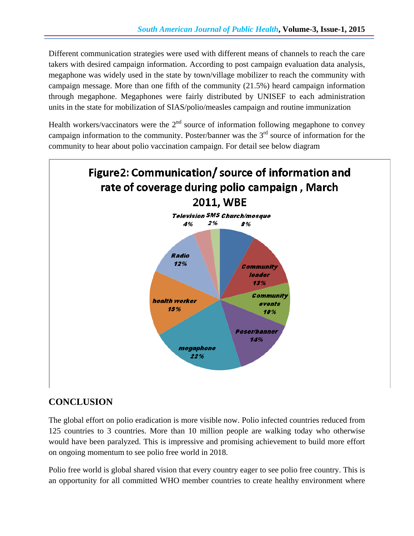Different communication strategies were used with different means of channels to reach the care takers with desired campaign information. According to post campaign evaluation data analysis, megaphone was widely used in the state by town/village mobilizer to reach the community with campaign message. More than one fifth of the community (21.5%) heard campaign information through megaphone. Megaphones were fairly distributed by UNISEF to each administration units in the state for mobilization of SIAS/polio/measles campaign and routine immunization

Health workers/vaccinators were the  $2<sup>nd</sup>$  source of information following megaphone to convey campaign information to the community. Poster/banner was the  $3<sup>rd</sup>$  source of information for the community to hear about polio vaccination campaign. For detail see below diagram



# **CONCLUSION**

The global effort on polio eradication is more visible now. Polio infected countries reduced from 125 countries to 3 countries. More than 10 million people are walking today who otherwise would have been paralyzed. This is impressive and promising achievement to build more effort on ongoing momentum to see polio free world in 2018.

Polio free world is global shared vision that every country eager to see polio free country. This is an opportunity for all committed WHO member countries to create healthy environment where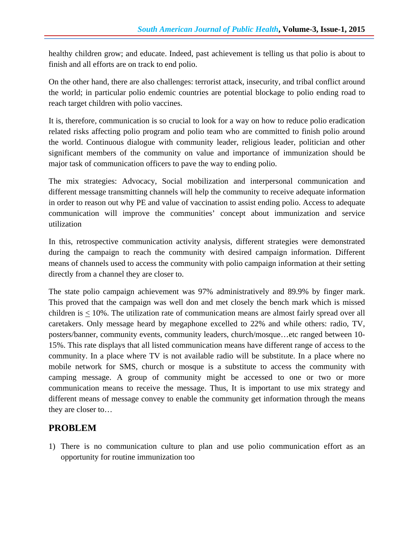healthy children grow; and educate. Indeed, past achievement is telling us that polio is about to finish and all efforts are on track to end polio.

On the other hand, there are also challenges: terrorist attack, insecurity, and tribal conflict around the world; in particular polio endemic countries are potential blockage to polio ending road to reach target children with polio vaccines.

It is, therefore, communication is so crucial to look for a way on how to reduce polio eradication related risks affecting polio program and polio team who are committed to finish polio around the world. Continuous dialogue with community leader, religious leader, politician and other significant members of the community on value and importance of immunization should be major task of communication officers to pave the way to ending polio.

The mix strategies: Advocacy, Social mobilization and interpersonal communication and different message transmitting channels will help the community to receive adequate information in order to reason out why PE and value of vaccination to assist ending polio. Access to adequate communication will improve the communities' concept about immunization and service utilization

In this, retrospective communication activity analysis, different strategies were demonstrated during the campaign to reach the community with desired campaign information. Different means of channels used to access the community with polio campaign information at their setting directly from a channel they are closer to.

The state polio campaign achievement was 97% administratively and 89.9% by finger mark. This proved that the campaign was well don and met closely the bench mark which is missed children is < 10%. The utilization rate of communication means are almost fairly spread over all caretakers. Only message heard by megaphone excelled to 22% and while others: radio, TV, posters/banner, community events, community leaders, church/mosque…etc ranged between 10- 15%. This rate displays that all listed communication means have different range of access to the community. In a place where TV is not available radio will be substitute. In a place where no mobile network for SMS, church or mosque is a substitute to access the community with camping message. A group of community might be accessed to one or two or more communication means to receive the message. Thus, It is important to use mix strategy and different means of message convey to enable the community get information through the means they are closer to…

# **PROBLEM**

1) There is no communication culture to plan and use polio communication effort as an opportunity for routine immunization too